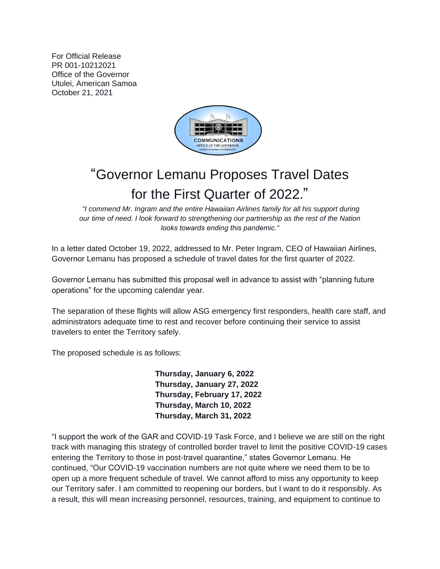For Official Release PR 001-10212021 Office of the Governor Utulei, American Samoa October 21, 2021



## "Governor Lemanu Proposes Travel Dates for the First Quarter of 2022."

*"I commend Mr. Ingram and the entire Hawaiian Airlines family for all his support during our time of need. I look forward to strengthening our partnership as the rest of the Nation looks towards ending this pandemic."*

In a letter dated October 19, 2022, addressed to Mr. Peter Ingram, CEO of Hawaiian Airlines, Governor Lemanu has proposed a schedule of travel dates for the first quarter of 2022.

Governor Lemanu has submitted this proposal well in advance to assist with "planning future operations" for the upcoming calendar year.

The separation of these flights will allow ASG emergency first responders, health care staff, and administrators adequate time to rest and recover before continuing their service to assist travelers to enter the Territory safely.

The proposed schedule is as follows:

**Thursday, January 6, 2022 Thursday, January 27, 2022 Thursday, February 17, 2022 Thursday, March 10, 2022 Thursday, March 31, 2022**

"I support the work of the GAR and COVID-19 Task Force, and I believe we are still on the right track with managing this strategy of controlled border travel to limit the positive COVID-19 cases entering the Territory to those in post-travel quarantine," states Governor Lemanu. He continued, "Our COVID-19 vaccination numbers are not quite where we need them to be to open up a more frequent schedule of travel. We cannot afford to miss any opportunity to keep our Territory safer. I am committed to reopening our borders, but I want to do it responsibly. As a result, this will mean increasing personnel, resources, training, and equipment to continue to